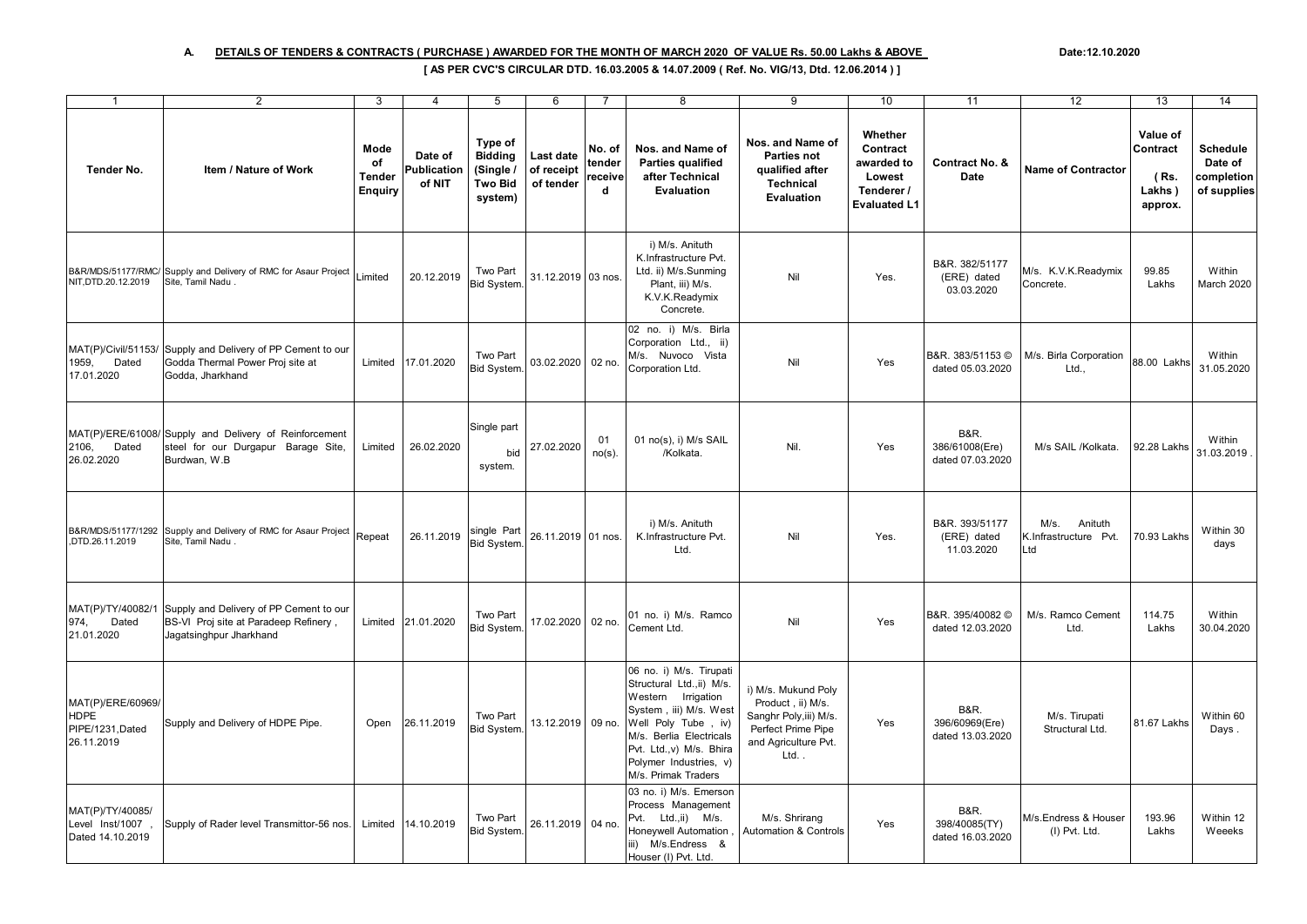A. DETAILS OF TENDERS & CONTRACTS ( PURCHASE ) AWARDED FOR THE MONTH OF MARCH 2020 OF VALUE Rs. 50.00 Lakhs & ABOVE

## **[ AS PER CVC'S CIRCULAR DTD. 16.03.2005 & 14.07.2009 ( Ref. No. VIG/13, Dtd. 12.06.2014 ) ]**

| $\overline{1}$                                                     | 2                                                                                                             | 3                                             | $\overline{4}$                          | 5                                                                   | 6                                    | $\overline{7}$                   | 8                                                                                                                                                                                                                                  | 9                                                                                                                       | 10                                                                               | 11                                                    | 12                                              | 13                                                       | 14                                                      |
|--------------------------------------------------------------------|---------------------------------------------------------------------------------------------------------------|-----------------------------------------------|-----------------------------------------|---------------------------------------------------------------------|--------------------------------------|----------------------------------|------------------------------------------------------------------------------------------------------------------------------------------------------------------------------------------------------------------------------------|-------------------------------------------------------------------------------------------------------------------------|----------------------------------------------------------------------------------|-------------------------------------------------------|-------------------------------------------------|----------------------------------------------------------|---------------------------------------------------------|
| Tender No.                                                         | Item / Nature of Work                                                                                         | Mode<br>of<br><b>Tender</b><br><b>Enquiry</b> | Date of<br><b>Publication</b><br>of NIT | Type of<br><b>Bidding</b><br>(Single /<br><b>Two Bid</b><br>system) | Last date<br>of receipt<br>of tender | No. of<br>tender<br>receive<br>d | Nos. and Name of<br>Parties qualified<br>after Technical<br><b>Evaluation</b>                                                                                                                                                      | Nos. and Name of<br><b>Parties not</b><br>qualified after<br>Technical<br><b>Evaluation</b>                             | Whether<br>Contract<br>awarded to<br>Lowest<br>Tenderer /<br><b>Evaluated L1</b> | Contract No. &<br>Date                                | <b>Name of Contractor</b>                       | Value of<br><b>Contract</b><br>(Rs.<br>Lakhs)<br>approx. | <b>Schedule</b><br>Date of<br>completion<br>of supplies |
| NIT, DTD. 20.12.2019                                               | B&R/MDS/51177/RMC/ Supply and Delivery of RMC for Asaur Project<br>Site, Tamil Nadu                           | Limited                                       | 20.12.2019                              | Two Part<br><b>Bid System.</b>                                      | 31.12.2019 03 nos.                   |                                  | i) M/s. Anituth<br>K.Infrastructure Pvt.<br>Ltd. ii) M/s.Sunming<br>Plant, iii) M/s.<br>K.V.K.Readymix<br>Concrete.                                                                                                                | Nil                                                                                                                     | Yes.                                                                             | B&R. 382/51177<br>(ERE) dated<br>03.03.2020           | M/s. K.V.K.Readymix<br>Concrete.                | 99.85<br>Lakhs                                           | Within<br>March 2020                                    |
| MAT(P)/Civil/51153/<br>1959,<br>Dated<br>17.01.2020                | Supply and Delivery of PP Cement to our<br>Godda Thermal Power Proj site at<br>Godda, Jharkhand               | Limited                                       | 17.01.2020                              | Two Part<br><b>Bid System</b>                                       | 03.02.2020                           | 02 no.                           | 02 no. i) M/s. Birla<br>Corporation Ltd., ii)<br>M/s. Nuvoco Vista<br>Corporation Ltd.                                                                                                                                             | Nil                                                                                                                     | Yes                                                                              | B&R. 383/51153 ©<br>dated 05.03.2020                  | M/s. Birla Corporation<br>Ltd.,                 | 88.00 Lakhs                                              | Within<br>31.05.2020                                    |
| Dated<br>2106,<br>26.02.2020                                       | MAT(P)/ERE/61008/ Supply and Delivery of Reinforcement<br>steel for our Durgapur Barage Site,<br>Burdwan, W.B | Limited                                       | 26.02.2020                              | Single part<br>bid<br>system.                                       | 27.02.2020                           | 01<br>no(s)                      | 01 no(s), i) M/s SAIL<br>/Kolkata.                                                                                                                                                                                                 | Nil.                                                                                                                    | Yes                                                                              | <b>B&amp;R.</b><br>386/61008(Ere)<br>dated 07.03.2020 | M/s SAIL /Kolkata.                              | 92.28 Lakhs                                              | Within<br>31.03.2019.                                   |
| .DTD.26.11.2019                                                    | B&R/MDS/51177/1292 Supply and Delivery of RMC for Asaur Project<br>Site, Tamil Nadu                           | Repeat                                        | 26.11.2019                              | single Part<br><b>Bid System.</b>                                   | 26.11.2019 01 nos.                   |                                  | i) M/s. Anituth<br>K.Infrastructure Pvt.<br>Ltd.                                                                                                                                                                                   | Nil                                                                                                                     | Yes.                                                                             | B&R. 393/51177<br>(ERE) dated<br>11.03.2020           | M/s.<br>Anituth<br>K.Infrastructure Pvt.<br>Ltd | 70.93 Lakhs                                              | Within 30<br>days                                       |
| MAT(P)/TY/40082/1<br>974,<br>Dated<br>21.01.2020                   | Supply and Delivery of PP Cement to our<br>BS-VI Proj site at Paradeep Refinery,<br>Jagatsinghpur Jharkhand   | Limited                                       | 21.01.2020                              | Two Part<br><b>Bid System</b>                                       | 17.02.2020                           | 02 no.                           | 01 no. i) M/s. Ramco<br>Cement Ltd.                                                                                                                                                                                                | Nil                                                                                                                     | Yes                                                                              | B&R. 395/40082 ©<br>dated 12.03.2020                  | M/s. Ramco Cement<br>Ltd.                       | 114.75<br>Lakhs                                          | Within<br>30.04.2020                                    |
| MAT(P)/ERE/60969/<br><b>HDPE</b><br>PIPE/1231, Dated<br>26.11.2019 | Supply and Delivery of HDPE Pipe.                                                                             | Open                                          | 26.11.2019                              | Two Part<br><b>Bid System</b>                                       | 13.12.2019 09 no.                    |                                  | 06 no. i) M/s. Tirupati<br>Structural Ltd., ii) M/s.<br>Western Irrigation<br>System, iii) M/s. West<br>Well Poly Tube, iv)<br>M/s. Berlia Electricals<br>Pvt. Ltd.,v) M/s. Bhira<br>Polymer Industries, v)<br>M/s. Primak Traders | i) M/s. Mukund Poly<br>Product, ii) M/s.<br>Sanghr Poly, iii) M/s.<br>Perfect Prime Pipe<br>and Agriculture Pvt.<br>Ltd | Yes                                                                              | <b>B&amp;R.</b><br>396/60969(Ere)<br>dated 13.03.2020 | M/s. Tirupati<br>Structural Ltd.                | 81.67 Lakhs                                              | Within 60<br>Days.                                      |
| MAT(P)/TY/40085/<br>Level Inst/1007<br>Dated 14.10.2019            | Supply of Rader level Transmittor-56 nos.                                                                     | Limited                                       | 14.10.2019                              | <b>Two Part</b><br><b>Bid System.</b>                               | 26.11.2019 04 no.                    |                                  | 03 no. i) M/s. Emerson<br>Process Management<br>Pvt. Ltd., ii) M/s.<br>Honeywell Automation<br>iii) M/s.Endress &<br>Houser (I) Pvt. Ltd.                                                                                          | M/s. Shrirang<br><b>Automation &amp; Controls</b>                                                                       | Yes                                                                              | <b>B&amp;R.</b><br>398/40085(TY)<br>dated 16.03.2020  | M/s.Endress & Houser<br>(I) Pvt. Ltd.           | 193.96<br>Lakhs                                          | Within 12<br>Weeeks                                     |